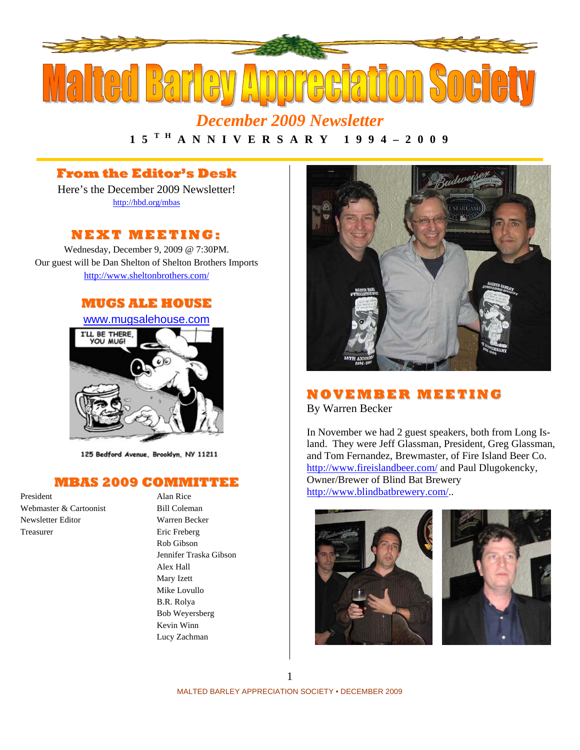

*December 2009 Newsletter*  **1 5 T H A N N I V E R S A R Y 1 9 9 4 – 2 0 0 9** 

# **From the Editor's Desk**

Here's the December 2009 Newsletter! http://hbd.org/mbas

# **NEXT MEETI NG:**

Wednesday, December 9, 2009 @ 7:30PM. Our guest will be Dan Shelton of Shelton Brothers Imports http://www.sheltonbrothers.com/

## **MUGS ALE HOUSE**

www.mugsalehouse.com



125 Bedford Avenue, Brooklyn, NY 11211

### **MBAS 2009 COMMITTEE**

President Alan Rice Webmaster & Cartoonist Bill Coleman Newsletter Editor Warren Becker Treasurer Eric Freberg

Rob Gibson Jennifer Traska Gibson Alex Hall Mary Izett Mike Lovullo B.R. Rolya Bob Weyersberg Kevin Winn Lucy Zachman



### **NOVEMBE R MEETI NG** By Warren Becker

In November we had 2 guest speakers, both from Long Island. They were Jeff Glassman, President, Greg Glassman, and Tom Fernandez, Brewmaster, of Fire Island Beer Co. http://www.fireislandbeer.com/ and Paul Dlugokencky,

Owner/Brewer of Blind Bat Brewery http://www.blindbatbrewery.com/..

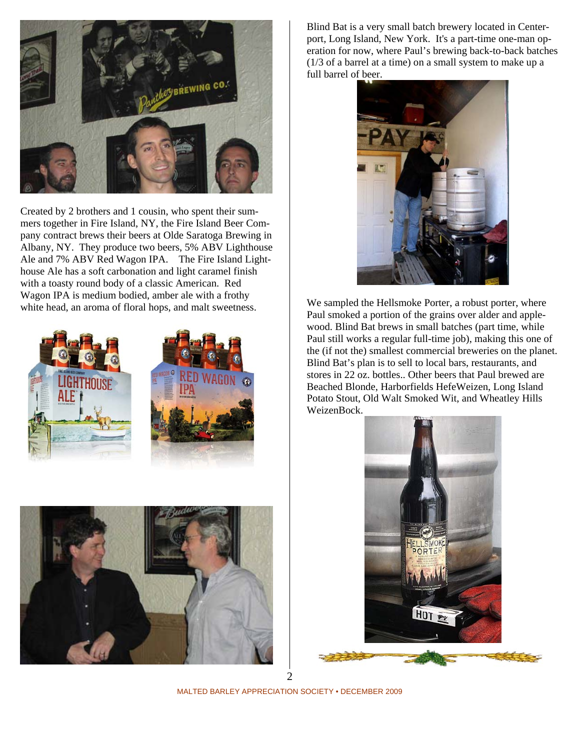

Created by 2 brothers and 1 cousin, who spent their summers together in Fire Island, NY, the Fire Island Beer Company contract brews their beers at Olde Saratoga Brewing in Albany, NY. They produce two beers, 5% ABV Lighthouse Ale and 7% ABV Red Wagon IPA. The Fire Island Lighthouse Ale has a soft carbonation and light caramel finish with a toasty round body of a classic American. Red Wagon IPA is medium bodied, amber ale with a frothy white head, an aroma of floral hops, and malt sweetness.







Blind Bat is a very small batch brewery located in Centerport, Long Island, New York. It's a part-time one-man operation for now, where Paul's brewing back-to-back batches (1/3 of a barrel at a time) on a small system to make up a full barrel of beer.



We sampled the Hellsmoke Porter, a robust porter, where Paul smoked a portion of the grains over alder and applewood. Blind Bat brews in small batches (part time, while Paul still works a regular full-time job), making this one of the (if not the) smallest commercial breweries on the planet. Blind Bat's plan is to sell to local bars, restaurants, and stores in 22 oz. bottles.. Other beers that Paul brewed are Beached Blonde, Harborfields HefeWeizen, Long Island Potato Stout, Old Walt Smoked Wit, and Wheatley Hills WeizenBock.



MALTED BARLEY APPRECIATION SOCIETY • DECEMBER 2009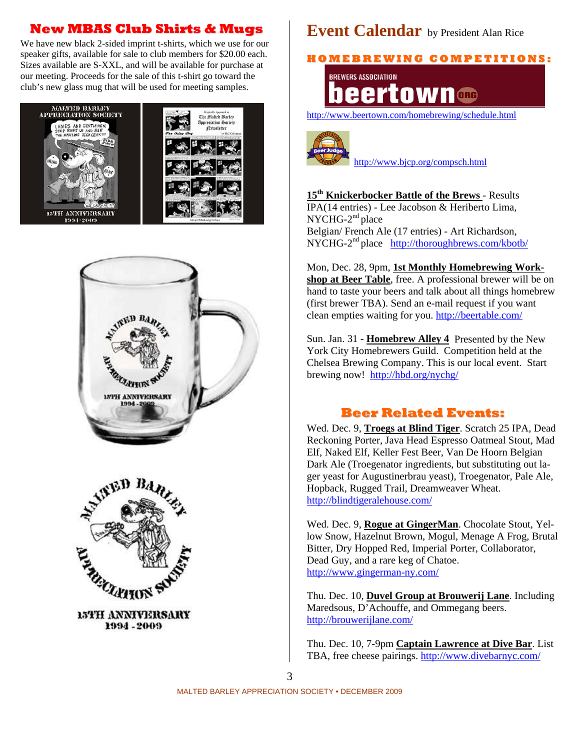# **New MBAS Club Shirts & Mugs**

We have new black 2-sided imprint t-shirts, which we use for our speaker gifts, available for sale to club members for \$20.00 each. Sizes available are S-XXL, and will be available for purchase at our meeting. Proceeds for the sale of this t-shirt go toward the club's new glass mug that will be used for meeting samples.







**15TH ANNIVERSARY** 1994 - 2009

# **Event Calendar** by President Alan Rice

**H O M E B R E WI N G C O M P E TI TI O N S:**



http://www.beertown.com/homebrewing/schedule.html



http://www.bjcp.org/compsch.html

**15th Knickerbocker Battle of the Brews** - Results IPA(14 entries) - Lee Jacobson & Heriberto Lima,  $NYCHG-2<sup>nd</sup> place$ Belgian/ French Ale (17 entries) - Art Richardson, NYCHG-2nd place http://thoroughbrews.com/kbotb/

Mon, Dec. 28, 9pm, **1st Monthly Homebrewing Workshop at Beer Table**, free. A professional brewer will be on hand to taste your beers and talk about all things homebrew (first brewer TBA). Send an e-mail request if you want clean empties waiting for you. http://beertable.com/

Sun. Jan. 31 - **Homebrew Alley 4** Presented by the New York City Homebrewers Guild. Competition held at the Chelsea Brewing Company. This is our local event. Start brewing now! http://hbd.org/nychg/

# **Beer Related Events:**

Wed. Dec. 9, **Troegs at Blind Tiger**. Scratch 25 IPA, Dead Reckoning Porter, Java Head Espresso Oatmeal Stout, Mad Elf, Naked Elf, Keller Fest Beer, Van De Hoorn Belgian Dark Ale (Troegenator ingredients, but substituting out lager yeast for Augustinerbrau yeast), Troegenator, Pale Ale, Hopback, Rugged Trail, Dreamweaver Wheat. http://blindtigeralehouse.com/

Wed. Dec. 9, **Rogue at GingerMan**. Chocolate Stout, Yellow Snow, Hazelnut Brown, Mogul, Menage A Frog, Brutal Bitter, Dry Hopped Red, Imperial Porter, Collaborator, Dead Guy, and a rare keg of Chatoe. http://www.gingerman-ny.com/

Thu. Dec. 10, **Duvel Group at Brouwerij Lane**. Including Maredsous, D'Achouffe, and Ommegang beers. http://brouwerijlane.com/

Thu. Dec. 10, 7-9pm **Captain Lawrence at Dive Bar**. List TBA, free cheese pairings. http://www.divebarnyc.com/